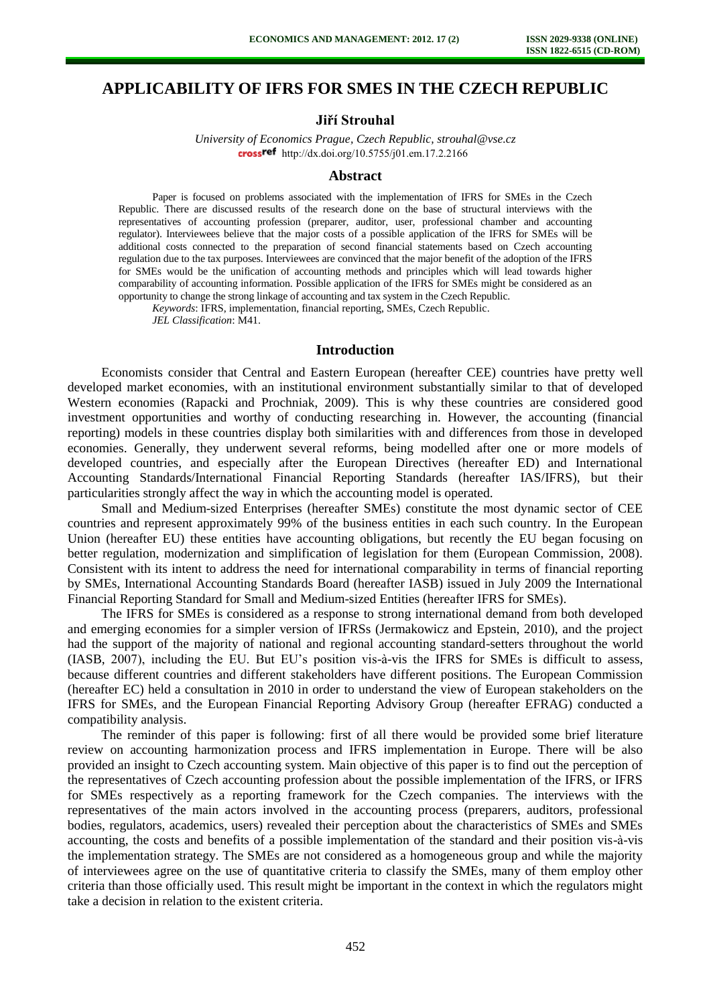# **APPLICABILITY OF IFRS FOR SMES IN THE CZECH REPUBLIC**

### **Jiří Strouhal**

*University of Economics Prague, Czech Republic, strouhal@vse.cz*  crossref [http://dx.doi.org/10.5755/j01.e](http://dx.doi.org/10.5755/j01.em.17.2.2166)m.17.2.2166

#### **Abstract**

Paper is focused on problems associated with the implementation of IFRS for SMEs in the Czech Republic. There are discussed results of the research done on the base of structural interviews with the representatives of accounting profession (preparer, auditor, user, professional chamber and accounting regulator). Interviewees believe that the major costs of a possible application of the IFRS for SMEs will be additional costs connected to the preparation of second financial statements based on Czech accounting regulation due to the tax purposes. Interviewees are convinced that the major benefit of the adoption of the IFRS for SMEs would be the unification of accounting methods and principles which will lead towards higher comparability of accounting information. Possible application of the IFRS for SMEs might be considered as an opportunity to change the strong linkage of accounting and tax system in the Czech Republic.

*Keywords*: IFRS, implementation, financial reporting, SMEs, Czech Republic.

*JEL Classification*: M41.

#### **Introduction**

Economists consider that Central and Eastern European (hereafter CEE) countries have pretty well developed market economies, with an institutional environment substantially similar to that of developed Western economies (Rapacki and Prochniak, 2009). This is why these countries are considered good investment opportunities and worthy of conducting researching in. However, the accounting (financial reporting) models in these countries display both similarities with and differences from those in developed economies. Generally, they underwent several reforms, being modelled after one or more models of developed countries, and especially after the European Directives (hereafter ED) and International Accounting Standards/International Financial Reporting Standards (hereafter IAS/IFRS), but their particularities strongly affect the way in which the accounting model is operated.

Small and Medium-sized Enterprises (hereafter SMEs) constitute the most dynamic sector of CEE countries and represent approximately 99% of the business entities in each such country. In the European Union (hereafter EU) these entities have accounting obligations, but recently the EU began focusing on better regulation, modernization and simplification of legislation for them (European Commission, 2008). Consistent with its intent to address the need for international comparability in terms of financial reporting by SMEs, International Accounting Standards Board (hereafter IASB) issued in July 2009 the International Financial Reporting Standard for Small and Medium-sized Entities (hereafter IFRS for SMEs).

The IFRS for SMEs is considered as a response to strong international demand from both developed and emerging economies for a simpler version of IFRSs (Jermakowicz and Epstein, 2010), and the project had the support of the majority of national and regional accounting standard-setters throughout the world (IASB, 2007), including the EU. But EU's position vis-à-vis the IFRS for SMEs is difficult to assess, because different countries and different stakeholders have different positions. The European Commission (hereafter EC) held a consultation in 2010 in order to understand the view of European stakeholders on the IFRS for SMEs, and the European Financial Reporting Advisory Group (hereafter EFRAG) conducted a compatibility analysis.

The reminder of this paper is following: first of all there would be provided some brief literature review on accounting harmonization process and IFRS implementation in Europe. There will be also provided an insight to Czech accounting system. Main objective of this paper is to find out the perception of the representatives of Czech accounting profession about the possible implementation of the IFRS, or IFRS for SMEs respectively as a reporting framework for the Czech companies. The interviews with the representatives of the main actors involved in the accounting process (preparers, auditors, professional bodies, regulators, academics, users) revealed their perception about the characteristics of SMEs and SMEs accounting, the costs and benefits of a possible implementation of the standard and their position vis-à-vis the implementation strategy. The SMEs are not considered as a homogeneous group and while the majority of interviewees agree on the use of quantitative criteria to classify the SMEs, many of them employ other criteria than those officially used. This result might be important in the context in which the regulators might take a decision in relation to the existent criteria.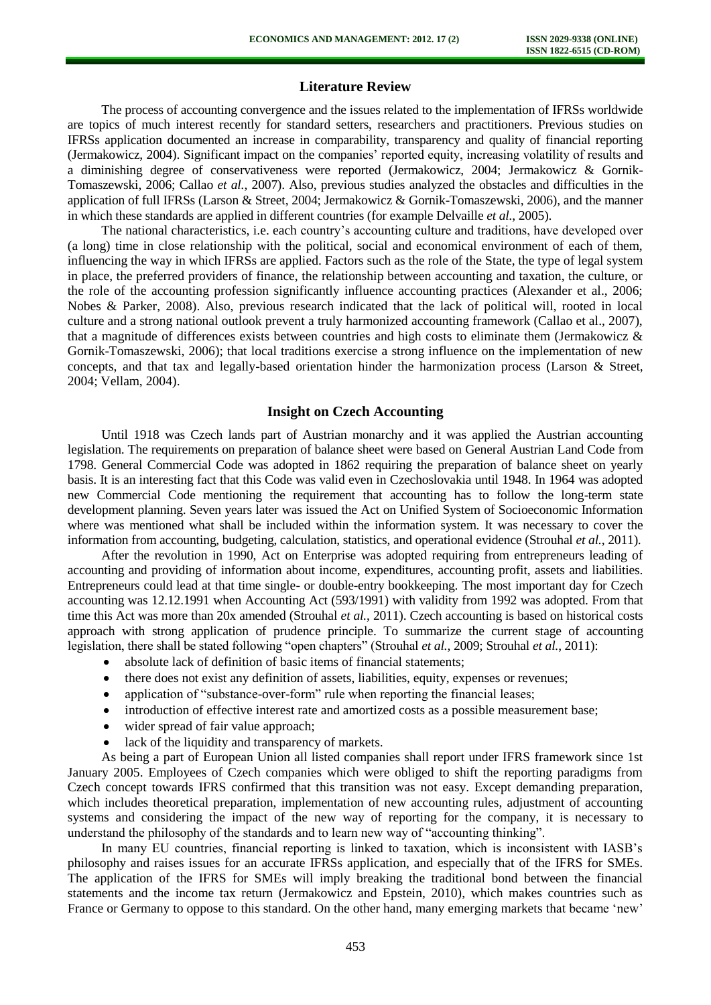### **Literature Review**

The process of accounting convergence and the issues related to the implementation of IFRSs worldwide are topics of much interest recently for standard setters, researchers and practitioners. Previous studies on IFRSs application documented an increase in comparability, transparency and quality of financial reporting (Jermakowicz, 2004). Significant impact on the companies' reported equity, increasing volatility of results and a diminishing degree of conservativeness were reported (Jermakowicz, 2004; Jermakowicz & Gornik-Tomaszewski, 2006; Callao *et al.*, 2007). Also, previous studies analyzed the obstacles and difficulties in the application of full IFRSs (Larson & Street, 2004; Jermakowicz & Gornik-Tomaszewski, 2006), and the manner in which these standards are applied in different countries (for example Delvaille *et al.*, 2005).

The national characteristics, i.e. each country's accounting culture and traditions, have developed over (a long) time in close relationship with the political, social and economical environment of each of them, influencing the way in which IFRSs are applied. Factors such as the role of the State, the type of legal system in place, the preferred providers of finance, the relationship between accounting and taxation, the culture, or the role of the accounting profession significantly influence accounting practices (Alexander et al., 2006; Nobes & Parker, 2008). Also, previous research indicated that the lack of political will, rooted in local culture and a strong national outlook prevent a truly harmonized accounting framework (Callao et al., 2007), that a magnitude of differences exists between countries and high costs to eliminate them (Jermakowicz  $\&$ Gornik-Tomaszewski, 2006); that local traditions exercise a strong influence on the implementation of new concepts, and that tax and legally-based orientation hinder the harmonization process (Larson & Street, 2004; Vellam, 2004).

### **Insight on Czech Accounting**

Until 1918 was Czech lands part of Austrian monarchy and it was applied the Austrian accounting legislation. The requirements on preparation of balance sheet were based on General Austrian Land Code from 1798. General Commercial Code was adopted in 1862 requiring the preparation of balance sheet on yearly basis. It is an interesting fact that this Code was valid even in Czechoslovakia until 1948. In 1964 was adopted new Commercial Code mentioning the requirement that accounting has to follow the long-term state development planning. Seven years later was issued the Act on Unified System of Socioeconomic Information where was mentioned what shall be included within the information system. It was necessary to cover the information from accounting, budgeting, calculation, statistics, and operational evidence (Strouhal *et al.*, 2011).

After the revolution in 1990, Act on Enterprise was adopted requiring from entrepreneurs leading of accounting and providing of information about income, expenditures, accounting profit, assets and liabilities. Entrepreneurs could lead at that time single- or double-entry bookkeeping. The most important day for Czech accounting was 12.12.1991 when Accounting Act (593/1991) with validity from 1992 was adopted. From that time this Act was more than 20x amended (Strouhal *et al.*, 2011). Czech accounting is based on historical costs approach with strong application of prudence principle. To summarize the current stage of accounting legislation, there shall be stated following "open chapters" (Strouhal *et al.*, 2009; Strouhal *et al.*, 2011):

- absolute lack of definition of basic items of financial statements;
- $\bullet$ there does not exist any definition of assets, liabilities, equity, expenses or revenues;
- $\bullet$ application of "substance-over-form" rule when reporting the financial leases;
- introduction of effective interest rate and amortized costs as a possible measurement base;
- wider spread of fair value approach:  $\bullet$
- lack of the liquidity and transparency of markets.  $\bullet$

As being a part of European Union all listed companies shall report under IFRS framework since 1st January 2005. Employees of Czech companies which were obliged to shift the reporting paradigms from Czech concept towards IFRS confirmed that this transition was not easy. Except demanding preparation, which includes theoretical preparation, implementation of new accounting rules, adjustment of accounting systems and considering the impact of the new way of reporting for the company, it is necessary to understand the philosophy of the standards and to learn new way of "accounting thinking".

In many EU countries, financial reporting is linked to taxation, which is inconsistent with IASB's philosophy and raises issues for an accurate IFRSs application, and especially that of the IFRS for SMEs. The application of the IFRS for SMEs will imply breaking the traditional bond between the financial statements and the income tax return (Jermakowicz and Epstein, 2010), which makes countries such as France or Germany to oppose to this standard. On the other hand, many emerging markets that became 'new'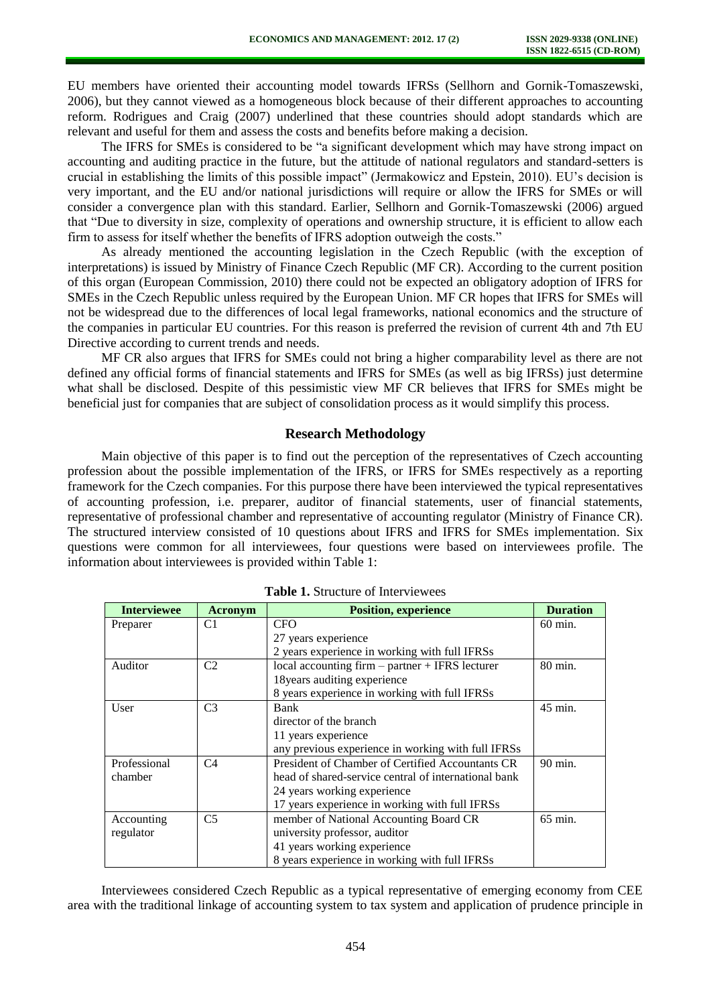EU members have oriented their accounting model towards IFRSs (Sellhorn and Gornik-Tomaszewski, 2006), but they cannot viewed as a homogeneous block because of their different approaches to accounting reform. Rodrigues and Craig (2007) underlined that these countries should adopt standards which are relevant and useful for them and assess the costs and benefits before making a decision.

The IFRS for SMEs is considered to be "a significant development which may have strong impact on accounting and auditing practice in the future, but the attitude of national regulators and standard-setters is crucial in establishing the limits of this possible impact" (Jermakowicz and Epstein, 2010). EU's decision is very important, and the EU and/or national jurisdictions will require or allow the IFRS for SMEs or will consider a convergence plan with this standard. Earlier, Sellhorn and Gornik-Tomaszewski (2006) argued that "Due to diversity in size, complexity of operations and ownership structure, it is efficient to allow each firm to assess for itself whether the benefits of IFRS adoption outweigh the costs."

As already mentioned the accounting legislation in the Czech Republic (with the exception of interpretations) is issued by Ministry of Finance Czech Republic (MF CR). According to the current position of this organ (European Commission, 2010) there could not be expected an obligatory adoption of IFRS for SMEs in the Czech Republic unless required by the European Union. MF CR hopes that IFRS for SMEs will not be widespread due to the differences of local legal frameworks, national economics and the structure of the companies in particular EU countries. For this reason is preferred the revision of current 4th and 7th EU Directive according to current trends and needs.

MF CR also argues that IFRS for SMEs could not bring a higher comparability level as there are not defined any official forms of financial statements and IFRS for SMEs (as well as big IFRSs) just determine what shall be disclosed. Despite of this pessimistic view MF CR believes that IFRS for SMEs might be beneficial just for companies that are subject of consolidation process as it would simplify this process.

#### **Research Methodology**

Main objective of this paper is to find out the perception of the representatives of Czech accounting profession about the possible implementation of the IFRS, or IFRS for SMEs respectively as a reporting framework for the Czech companies. For this purpose there have been interviewed the typical representatives of accounting profession, i.e. preparer, auditor of financial statements, user of financial statements, representative of professional chamber and representative of accounting regulator (Ministry of Finance CR). The structured interview consisted of 10 questions about IFRS and IFRS for SMEs implementation. Six questions were common for all interviewees, four questions were based on interviewees profile. The information about interviewees is provided within Table 1:

| <b>Interviewee</b> | <b>Acronym</b> | <b>Position, experience</b>                          | <b>Duration</b>    |
|--------------------|----------------|------------------------------------------------------|--------------------|
| Preparer           | C1             | <b>CFO</b>                                           | $60 \text{ min}$ . |
|                    |                | 27 years experience                                  |                    |
|                    |                | 2 years experience in working with full IFRSs        |                    |
| Auditor            | C <sub>2</sub> | local accounting firm – partner + IFRS lecturer      | 80 min.            |
|                    |                | 18 years auditing experience                         |                    |
|                    |                | 8 years experience in working with full IFRSs        |                    |
| User               | C <sub>3</sub> | <b>Bank</b>                                          | 45 min.            |
|                    |                | director of the branch                               |                    |
|                    |                | 11 years experience                                  |                    |
|                    |                | any previous experience in working with full IFRSs   |                    |
| Professional       | C <sub>4</sub> | President of Chamber of Certified Accountants CR     | 90 min.            |
| chamber            |                | head of shared-service central of international bank |                    |
|                    |                | 24 years working experience                          |                    |
|                    |                | 17 years experience in working with full IFRSs       |                    |
| Accounting         | C <sub>5</sub> | member of National Accounting Board CR               | $65$ min.          |
| regulator          |                | university professor, auditor                        |                    |
|                    |                | 41 years working experience                          |                    |
|                    |                | 8 years experience in working with full IFRSs        |                    |

**Table 1.** Structure of Interviewees

Interviewees considered Czech Republic as a typical representative of emerging economy from CEE area with the traditional linkage of accounting system to tax system and application of prudence principle in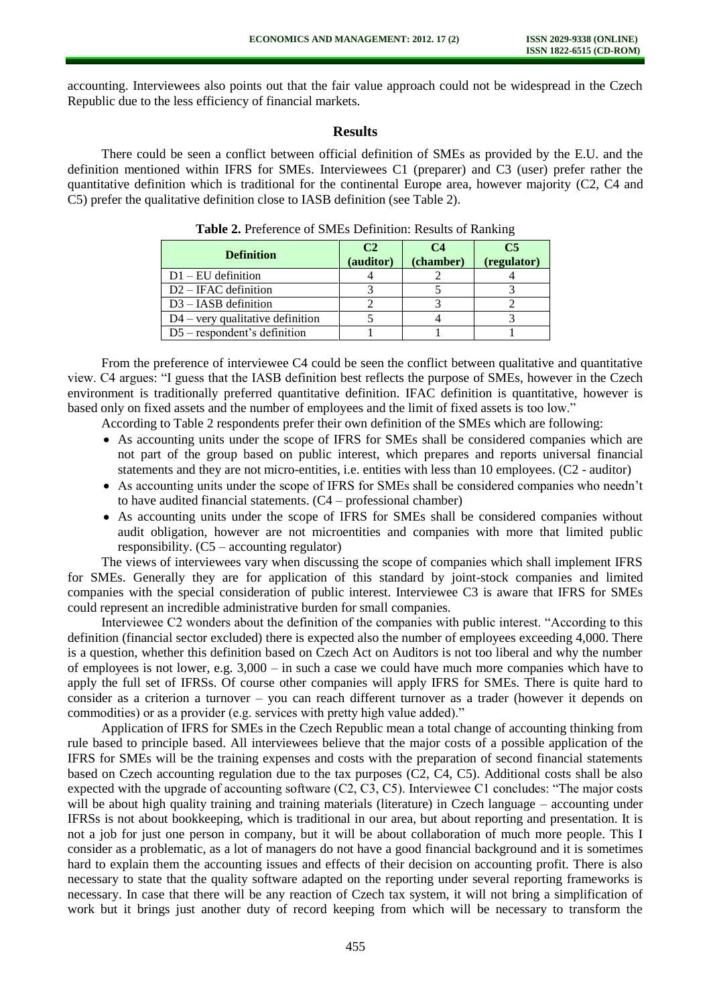accounting. Interviewees also points out that the fair value approach could not be widespread in the Czech Republic due to the less efficiency of financial markets.

### **Results**

There could be seen a conflict between official definition of SMEs as provided by the E.U. and the definition mentioned within IFRS for SMEs. Interviewees C1 (preparer) and C3 (user) prefer rather the quantitative definition which is traditional for the continental Europe area, however majority (C2, C4 and C5) prefer the qualitative definition close to IASB definition (see Table 2).

| <b>Definition</b>                  | C <sub>2</sub><br>(auditor) | $C_4$<br>(chamber) | C5<br>(regulator) |
|------------------------------------|-----------------------------|--------------------|-------------------|
| $D1 - EU$ definition               |                             |                    |                   |
| $D2 - IFAC$ definition             |                             |                    |                   |
| $D3 - IASB$ definition             |                             |                    |                   |
| $D4$ – very qualitative definition |                             |                    |                   |
| $D5$ – respondent's definition     |                             |                    |                   |

| Table 2. Preference of SMEs Definition: Results of Ranking |
|------------------------------------------------------------|
|------------------------------------------------------------|

From the preference of interviewee C4 could be seen the conflict between qualitative and quantitative view. C4 argues: "I guess that the IASB definition best reflects the purpose of SMEs, however in the Czech environment is traditionally preferred quantitative definition. IFAC definition is quantitative, however is based only on fixed assets and the number of employees and the limit of fixed assets is too low."

According to Table 2 respondents prefer their own definition of the SMEs which are following:

- As accounting units under the scope of IFRS for SMEs shall be considered companies which are not part of the group based on public interest, which prepares and reports universal financial statements and they are not micro-entities, i.e. entities with less than 10 employees. (C2 - auditor)
- As accounting units under the scope of IFRS for SMEs shall be considered companies who needn't to have audited financial statements. (C4 – professional chamber)
- As accounting units under the scope of IFRS for SMEs shall be considered companies without audit obligation, however are not microentities and companies with more that limited public responsibility. (C5 – accounting regulator)

The views of interviewees vary when discussing the scope of companies which shall implement IFRS for SMEs. Generally they are for application of this standard by joint-stock companies and limited companies with the special consideration of public interest. Interviewee C3 is aware that IFRS for SMEs could represent an incredible administrative burden for small companies.

Interviewee C2 wonders about the definition of the companies with public interest. "According to this definition (financial sector excluded) there is expected also the number of employees exceeding 4,000. There is a question, whether this definition based on Czech Act on Auditors is not too liberal and why the number of employees is not lower, e.g. 3,000 – in such a case we could have much more companies which have to apply the full set of IFRSs. Of course other companies will apply IFRS for SMEs. There is quite hard to consider as a criterion a turnover – you can reach different turnover as a trader (however it depends on commodities) or as a provider (e.g. services with pretty high value added)."

Application of IFRS for SMEs in the Czech Republic mean a total change of accounting thinking from rule based to principle based. All interviewees believe that the major costs of a possible application of the IFRS for SMEs will be the training expenses and costs with the preparation of second financial statements based on Czech accounting regulation due to the tax purposes (C2, C4, C5). Additional costs shall be also expected with the upgrade of accounting software (C2, C3, C5). Interviewee C1 concludes: "The major costs will be about high quality training and training materials (literature) in Czech language – accounting under IFRSs is not about bookkeeping, which is traditional in our area, but about reporting and presentation. It is not a job for just one person in company, but it will be about collaboration of much more people. This I consider as a problematic, as a lot of managers do not have a good financial background and it is sometimes hard to explain them the accounting issues and effects of their decision on accounting profit. There is also necessary to state that the quality software adapted on the reporting under several reporting frameworks is necessary. In case that there will be any reaction of Czech tax system, it will not bring a simplification of work but it brings just another duty of record keeping from which will be necessary to transform the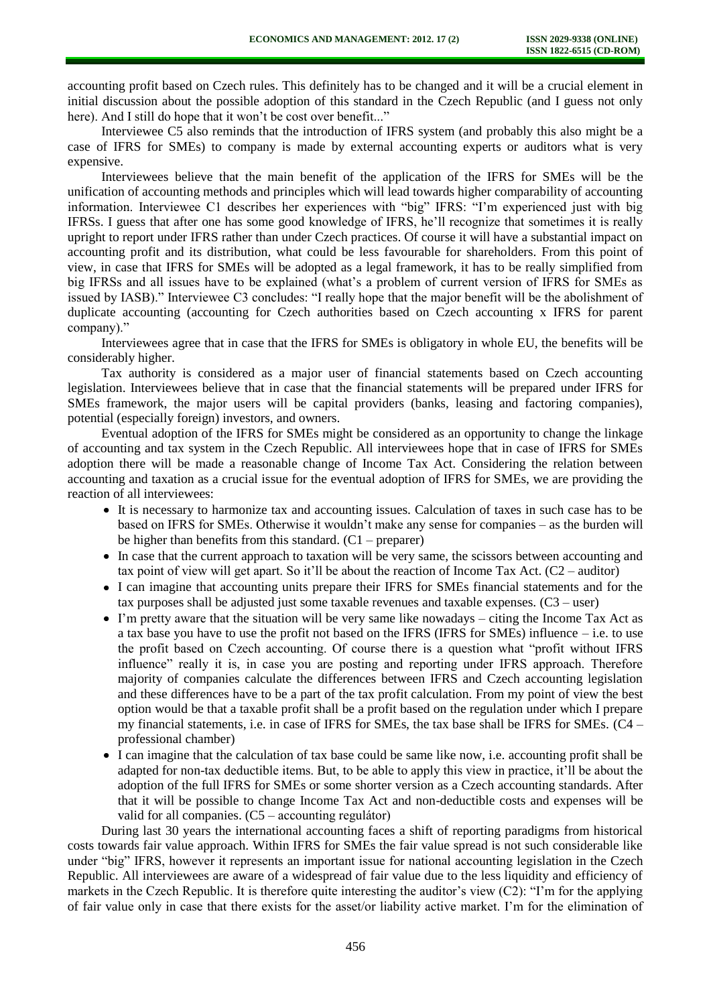accounting profit based on Czech rules. This definitely has to be changed and it will be a crucial element in initial discussion about the possible adoption of this standard in the Czech Republic (and I guess not only here). And I still do hope that it won't be cost over benefit..."

Interviewee C5 also reminds that the introduction of IFRS system (and probably this also might be a case of IFRS for SMEs) to company is made by external accounting experts or auditors what is very expensive.

Interviewees believe that the main benefit of the application of the IFRS for SMEs will be the unification of accounting methods and principles which will lead towards higher comparability of accounting information. Interviewee C1 describes her experiences with "big" IFRS: "I'm experienced just with big IFRSs. I guess that after one has some good knowledge of IFRS, he'll recognize that sometimes it is really upright to report under IFRS rather than under Czech practices. Of course it will have a substantial impact on accounting profit and its distribution, what could be less favourable for shareholders. From this point of view, in case that IFRS for SMEs will be adopted as a legal framework, it has to be really simplified from big IFRSs and all issues have to be explained (what's a problem of current version of IFRS for SMEs as issued by IASB)." Interviewee C3 concludes: "I really hope that the major benefit will be the abolishment of duplicate accounting (accounting for Czech authorities based on Czech accounting x IFRS for parent company)."

Interviewees agree that in case that the IFRS for SMEs is obligatory in whole EU, the benefits will be considerably higher.

Tax authority is considered as a major user of financial statements based on Czech accounting legislation. Interviewees believe that in case that the financial statements will be prepared under IFRS for SMEs framework, the major users will be capital providers (banks, leasing and factoring companies), potential (especially foreign) investors, and owners.

Eventual adoption of the IFRS for SMEs might be considered as an opportunity to change the linkage of accounting and tax system in the Czech Republic. All interviewees hope that in case of IFRS for SMEs adoption there will be made a reasonable change of Income Tax Act. Considering the relation between accounting and taxation as a crucial issue for the eventual adoption of IFRS for SMEs, we are providing the reaction of all interviewees:

- It is necessary to harmonize tax and accounting issues. Calculation of taxes in such case has to be based on IFRS for SMEs. Otherwise it wouldn't make any sense for companies – as the burden will be higher than benefits from this standard.  $(C1 -$  preparer)
- In case that the current approach to taxation will be very same, the scissors between accounting and tax point of view will get apart. So it'll be about the reaction of Income Tax Act. (C2 – auditor)
- I can imagine that accounting units prepare their IFRS for SMEs financial statements and for the tax purposes shall be adjusted just some taxable revenues and taxable expenses. (C3 – user)
- I'm pretty aware that the situation will be very same like nowadays citing the Income Tax Act as a tax base you have to use the profit not based on the IFRS (IFRS for SMEs) influence – i.e. to use the profit based on Czech accounting. Of course there is a question what "profit without IFRS influence" really it is, in case you are posting and reporting under IFRS approach. Therefore majority of companies calculate the differences between IFRS and Czech accounting legislation and these differences have to be a part of the tax profit calculation. From my point of view the best option would be that a taxable profit shall be a profit based on the regulation under which I prepare my financial statements, i.e. in case of IFRS for SMEs, the tax base shall be IFRS for SMEs. (C4 – professional chamber)
- I can imagine that the calculation of tax base could be same like now, i.e. accounting profit shall be adapted for non-tax deductible items. But, to be able to apply this view in practice, it'll be about the adoption of the full IFRS for SMEs or some shorter version as a Czech accounting standards. After that it will be possible to change Income Tax Act and non-deductible costs and expenses will be valid for all companies. (C5 – accounting regulátor)

During last 30 years the international accounting faces a shift of reporting paradigms from historical costs towards fair value approach. Within IFRS for SMEs the fair value spread is not such considerable like under "big" IFRS, however it represents an important issue for national accounting legislation in the Czech Republic. All interviewees are aware of a widespread of fair value due to the less liquidity and efficiency of markets in the Czech Republic. It is therefore quite interesting the auditor's view (C2): "I'm for the applying of fair value only in case that there exists for the asset/or liability active market. I'm for the elimination of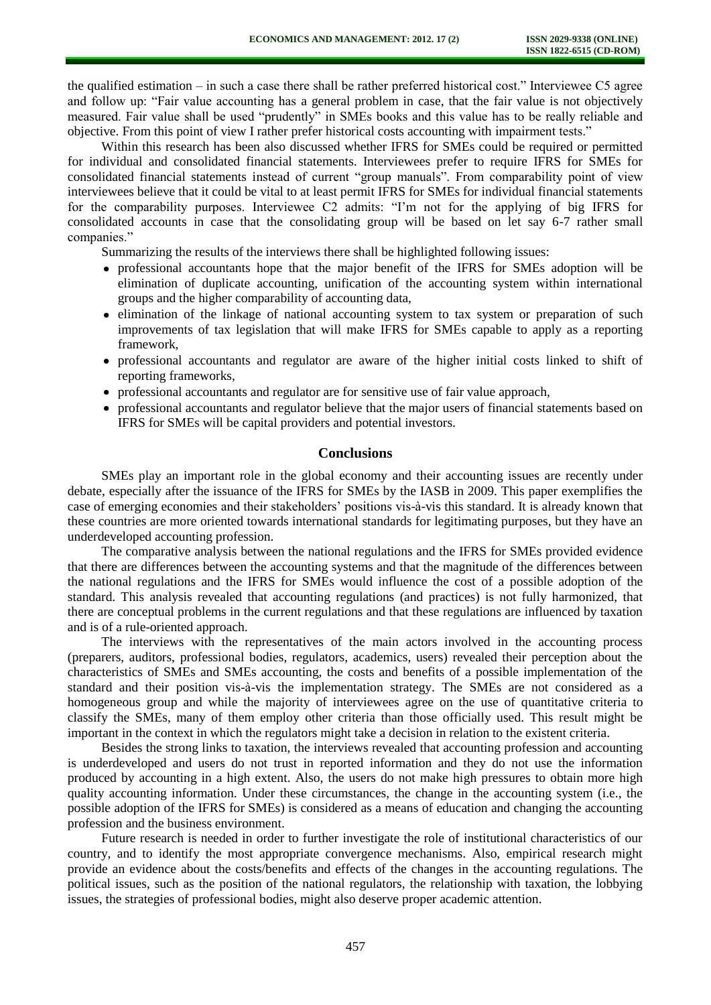the qualified estimation – in such a case there shall be rather preferred historical cost." Interviewee C5 agree and follow up: "Fair value accounting has a general problem in case, that the fair value is not objectively measured. Fair value shall be used "prudently" in SMEs books and this value has to be really reliable and objective. From this point of view I rather prefer historical costs accounting with impairment tests."

Within this research has been also discussed whether IFRS for SMEs could be required or permitted for individual and consolidated financial statements. Interviewees prefer to require IFRS for SMEs for consolidated financial statements instead of current "group manuals". From comparability point of view interviewees believe that it could be vital to at least permit IFRS for SMEs for individual financial statements for the comparability purposes. Interviewee C2 admits: "I'm not for the applying of big IFRS for consolidated accounts in case that the consolidating group will be based on let say 6-7 rather small companies."

Summarizing the results of the interviews there shall be highlighted following issues:

- professional accountants hope that the major benefit of the IFRS for SMEs adoption will be elimination of duplicate accounting, unification of the accounting system within international groups and the higher comparability of accounting data,
- elimination of the linkage of national accounting system to tax system or preparation of such improvements of tax legislation that will make IFRS for SMEs capable to apply as a reporting framework,
- professional accountants and regulator are aware of the higher initial costs linked to shift of reporting frameworks,
- professional accountants and regulator are for sensitive use of fair value approach,
- professional accountants and regulator believe that the major users of financial statements based on IFRS for SMEs will be capital providers and potential investors.

### **Conclusions**

SMEs play an important role in the global economy and their accounting issues are recently under debate, especially after the issuance of the IFRS for SMEs by the IASB in 2009. This paper exemplifies the case of emerging economies and their stakeholders' positions vis-à-vis this standard. It is already known that these countries are more oriented towards international standards for legitimating purposes, but they have an underdeveloped accounting profession.

The comparative analysis between the national regulations and the IFRS for SMEs provided evidence that there are differences between the accounting systems and that the magnitude of the differences between the national regulations and the IFRS for SMEs would influence the cost of a possible adoption of the standard. This analysis revealed that accounting regulations (and practices) is not fully harmonized, that there are conceptual problems in the current regulations and that these regulations are influenced by taxation and is of a rule-oriented approach.

The interviews with the representatives of the main actors involved in the accounting process (preparers, auditors, professional bodies, regulators, academics, users) revealed their perception about the characteristics of SMEs and SMEs accounting, the costs and benefits of a possible implementation of the standard and their position vis-à-vis the implementation strategy. The SMEs are not considered as a homogeneous group and while the majority of interviewees agree on the use of quantitative criteria to classify the SMEs, many of them employ other criteria than those officially used. This result might be important in the context in which the regulators might take a decision in relation to the existent criteria.

Besides the strong links to taxation, the interviews revealed that accounting profession and accounting is underdeveloped and users do not trust in reported information and they do not use the information produced by accounting in a high extent. Also, the users do not make high pressures to obtain more high quality accounting information. Under these circumstances, the change in the accounting system (i.e., the possible adoption of the IFRS for SMEs) is considered as a means of education and changing the accounting profession and the business environment.

Future research is needed in order to further investigate the role of institutional characteristics of our country, and to identify the most appropriate convergence mechanisms. Also, empirical research might provide an evidence about the costs/benefits and effects of the changes in the accounting regulations. The political issues, such as the position of the national regulators, the relationship with taxation, the lobbying issues, the strategies of professional bodies, might also deserve proper academic attention.